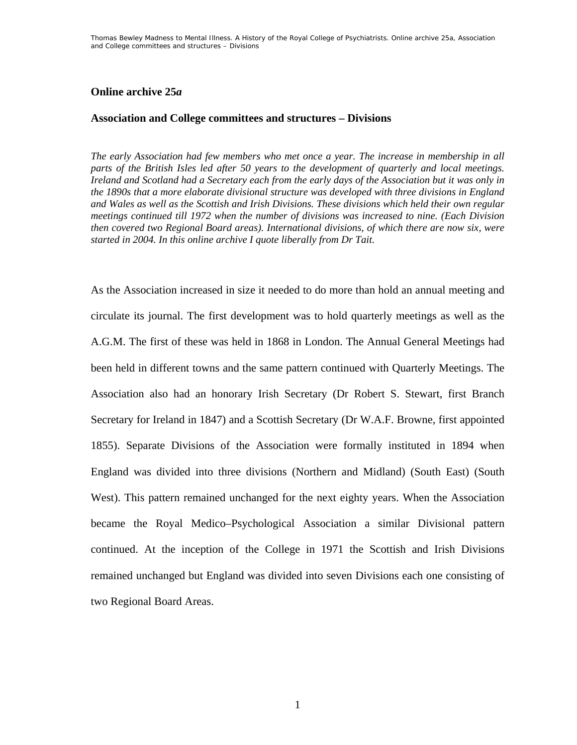# **Online archive 25***a*

# **Association and College committees and structures – Divisions**

*The early Association had few members who met once a year. The increase in membership in all parts of the British Isles led after 50 years to the development of quarterly and local meetings. Ireland and Scotland had a Secretary each from the early days of the Association but it was only in the 1890s that a more elaborate divisional structure was developed with three divisions in England and Wales as well as the Scottish and Irish Divisions. These divisions which held their own regular meetings continued till 1972 when the number of divisions was increased to nine. (Each Division then covered two Regional Board areas). International divisions, of which there are now six, were started in 2004. In this online archive I quote liberally from Dr Tait.* 

As the Association increased in size it needed to do more than hold an annual meeting and circulate its journal. The first development was to hold quarterly meetings as well as the A.G.M. The first of these was held in 1868 in London. The Annual General Meetings had been held in different towns and the same pattern continued with Quarterly Meetings. The Association also had an honorary Irish Secretary (Dr Robert S. Stewart, first Branch Secretary for Ireland in 1847) and a Scottish Secretary (Dr W.A.F. Browne, first appointed 1855). Separate Divisions of the Association were formally instituted in 1894 when England was divided into three divisions (Northern and Midland) (South East) (South West). This pattern remained unchanged for the next eighty years. When the Association became the Royal Medico–Psychological Association a similar Divisional pattern continued. At the inception of the College in 1971 the Scottish and Irish Divisions remained unchanged but England was divided into seven Divisions each one consisting of two Regional Board Areas.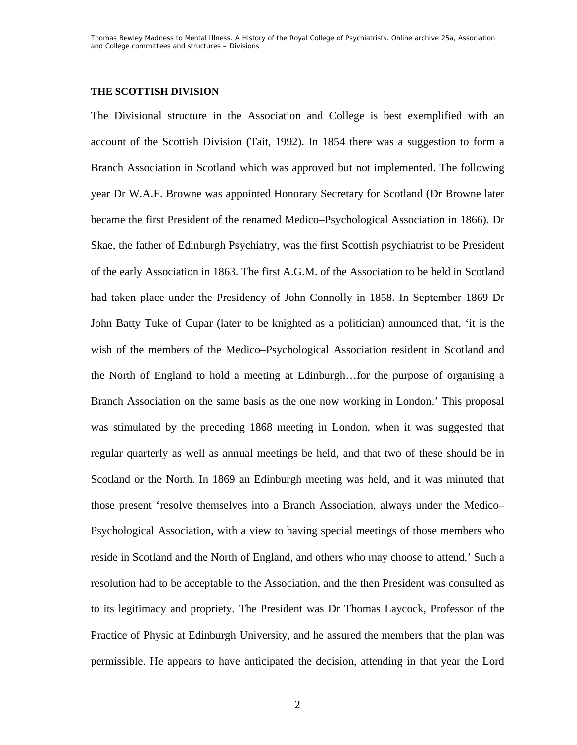#### **THE SCOTTISH DIVISION**

The Divisional structure in the Association and College is best exemplified with an account of the Scottish Division (Tait, 1992). In 1854 there was a suggestion to form a Branch Association in Scotland which was approved but not implemented. The following year Dr W.A.F. Browne was appointed Honorary Secretary for Scotland (Dr Browne later became the first President of the renamed Medico–Psychological Association in 1866). Dr Skae, the father of Edinburgh Psychiatry, was the first Scottish psychiatrist to be President of the early Association in 1863. The first A.G.M. of the Association to be held in Scotland had taken place under the Presidency of John Connolly in 1858. In September 1869 Dr John Batty Tuke of Cupar (later to be knighted as a politician) announced that, 'it is the wish of the members of the Medico–Psychological Association resident in Scotland and the North of England to hold a meeting at Edinburgh…for the purpose of organising a Branch Association on the same basis as the one now working in London.' This proposal was stimulated by the preceding 1868 meeting in London, when it was suggested that regular quarterly as well as annual meetings be held, and that two of these should be in Scotland or the North. In 1869 an Edinburgh meeting was held, and it was minuted that those present 'resolve themselves into a Branch Association, always under the Medico– Psychological Association, with a view to having special meetings of those members who reside in Scotland and the North of England, and others who may choose to attend.' Such a resolution had to be acceptable to the Association, and the then President was consulted as to its legitimacy and propriety. The President was Dr Thomas Laycock, Professor of the Practice of Physic at Edinburgh University, and he assured the members that the plan was permissible. He appears to have anticipated the decision, attending in that year the Lord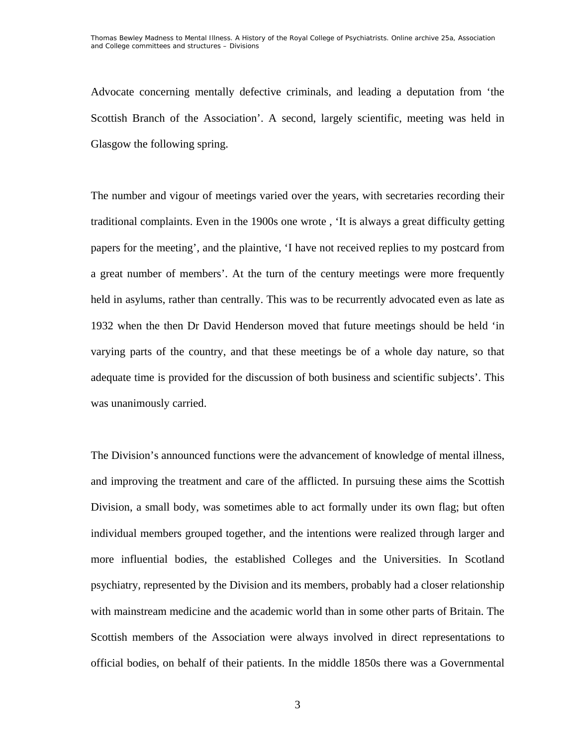Advocate concerning mentally defective criminals, and leading a deputation from 'the Scottish Branch of the Association'. A second, largely scientific, meeting was held in Glasgow the following spring.

The number and vigour of meetings varied over the years, with secretaries recording their traditional complaints. Even in the 1900s one wrote , 'It is always a great difficulty getting papers for the meeting', and the plaintive, 'I have not received replies to my postcard from a great number of members'. At the turn of the century meetings were more frequently held in asylums, rather than centrally. This was to be recurrently advocated even as late as 1932 when the then Dr David Henderson moved that future meetings should be held 'in varying parts of the country, and that these meetings be of a whole day nature, so that adequate time is provided for the discussion of both business and scientific subjects'. This was unanimously carried.

The Division's announced functions were the advancement of knowledge of mental illness, and improving the treatment and care of the afflicted. In pursuing these aims the Scottish Division, a small body, was sometimes able to act formally under its own flag; but often individual members grouped together, and the intentions were realized through larger and more influential bodies, the established Colleges and the Universities. In Scotland psychiatry, represented by the Division and its members, probably had a closer relationship with mainstream medicine and the academic world than in some other parts of Britain. The Scottish members of the Association were always involved in direct representations to official bodies, on behalf of their patients. In the middle 1850s there was a Governmental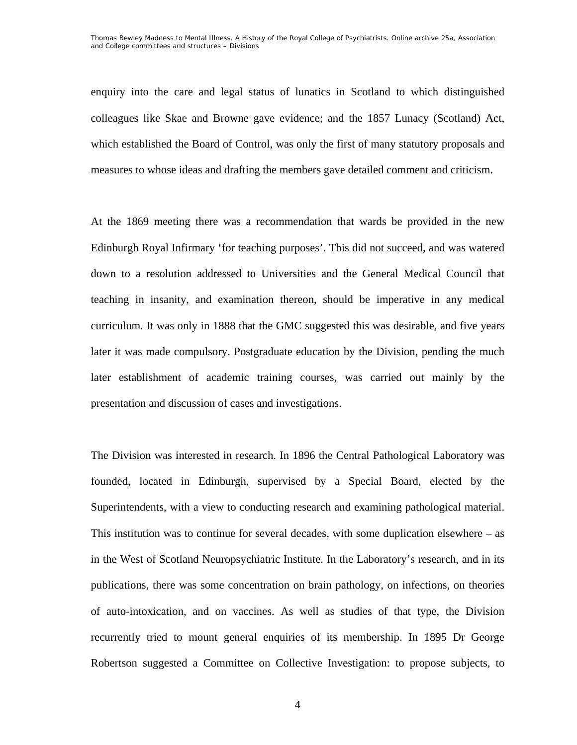enquiry into the care and legal status of lunatics in Scotland to which distinguished colleagues like Skae and Browne gave evidence; and the 1857 Lunacy (Scotland) Act, which established the Board of Control, was only the first of many statutory proposals and measures to whose ideas and drafting the members gave detailed comment and criticism.

At the 1869 meeting there was a recommendation that wards be provided in the new Edinburgh Royal Infirmary 'for teaching purposes'. This did not succeed, and was watered down to a resolution addressed to Universities and the General Medical Council that teaching in insanity, and examination thereon, should be imperative in any medical curriculum. It was only in 1888 that the GMC suggested this was desirable, and five years later it was made compulsory. Postgraduate education by the Division, pending the much later establishment of academic training courses, was carried out mainly by the presentation and discussion of cases and investigations.

The Division was interested in research. In 1896 the Central Pathological Laboratory was founded, located in Edinburgh, supervised by a Special Board, elected by the Superintendents, with a view to conducting research and examining pathological material. This institution was to continue for several decades, with some duplication elsewhere – as in the West of Scotland Neuropsychiatric Institute. In the Laboratory's research, and in its publications, there was some concentration on brain pathology, on infections, on theories of auto-intoxication, and on vaccines. As well as studies of that type, the Division recurrently tried to mount general enquiries of its membership. In 1895 Dr George Robertson suggested a Committee on Collective Investigation: to propose subjects, to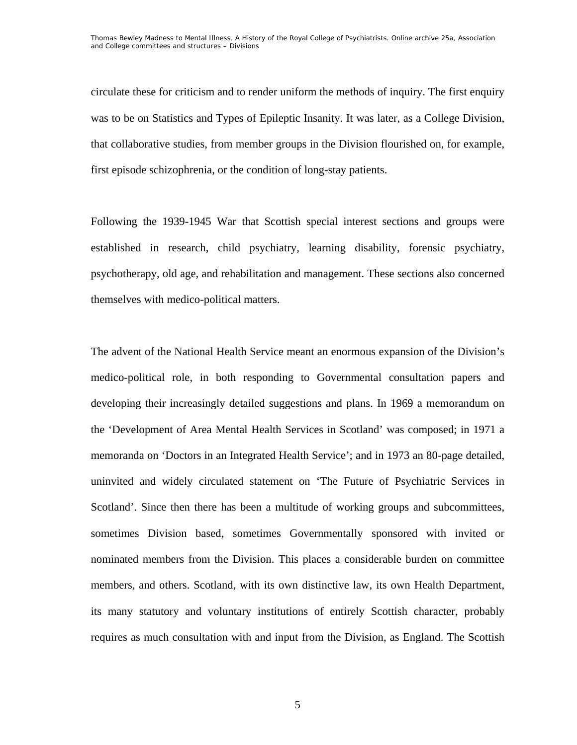circulate these for criticism and to render uniform the methods of inquiry. The first enquiry was to be on Statistics and Types of Epileptic Insanity. It was later, as a College Division, that collaborative studies, from member groups in the Division flourished on, for example, first episode schizophrenia, or the condition of long-stay patients.

Following the 1939-1945 War that Scottish special interest sections and groups were established in research, child psychiatry, learning disability, forensic psychiatry, psychotherapy, old age, and rehabilitation and management. These sections also concerned themselves with medico-political matters.

The advent of the National Health Service meant an enormous expansion of the Division's medico-political role, in both responding to Governmental consultation papers and developing their increasingly detailed suggestions and plans. In 1969 a memorandum on the 'Development of Area Mental Health Services in Scotland' was composed; in 1971 a memoranda on 'Doctors in an Integrated Health Service'; and in 1973 an 80-page detailed, uninvited and widely circulated statement on 'The Future of Psychiatric Services in Scotland'. Since then there has been a multitude of working groups and subcommittees, sometimes Division based, sometimes Governmentally sponsored with invited or nominated members from the Division. This places a considerable burden on committee members, and others. Scotland, with its own distinctive law, its own Health Department, its many statutory and voluntary institutions of entirely Scottish character, probably requires as much consultation with and input from the Division, as England. The Scottish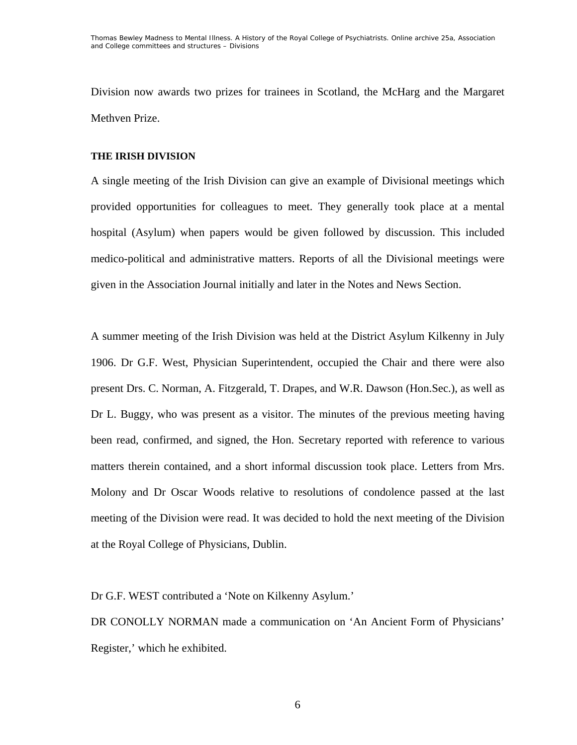Division now awards two prizes for trainees in Scotland, the McHarg and the Margaret Methven Prize.

### **THE IRISH DIVISION**

A single meeting of the Irish Division can give an example of Divisional meetings which provided opportunities for colleagues to meet. They generally took place at a mental hospital (Asylum) when papers would be given followed by discussion. This included medico-political and administrative matters. Reports of all the Divisional meetings were given in the Association Journal initially and later in the Notes and News Section.

A summer meeting of the Irish Division was held at the District Asylum Kilkenny in July 1906. Dr G.F. West, Physician Superintendent, occupied the Chair and there were also present Drs. C. Norman, A. Fitzgerald, T. Drapes, and W.R. Dawson (Hon.Sec.), as well as Dr L. Buggy, who was present as a visitor. The minutes of the previous meeting having been read, confirmed, and signed, the Hon. Secretary reported with reference to various matters therein contained, and a short informal discussion took place. Letters from Mrs. Molony and Dr Oscar Woods relative to resolutions of condolence passed at the last meeting of the Division were read. It was decided to hold the next meeting of the Division at the Royal College of Physicians, Dublin.

Dr G.F. WEST contributed a 'Note on Kilkenny Asylum.'

DR CONOLLY NORMAN made a communication on 'An Ancient Form of Physicians' Register,' which he exhibited.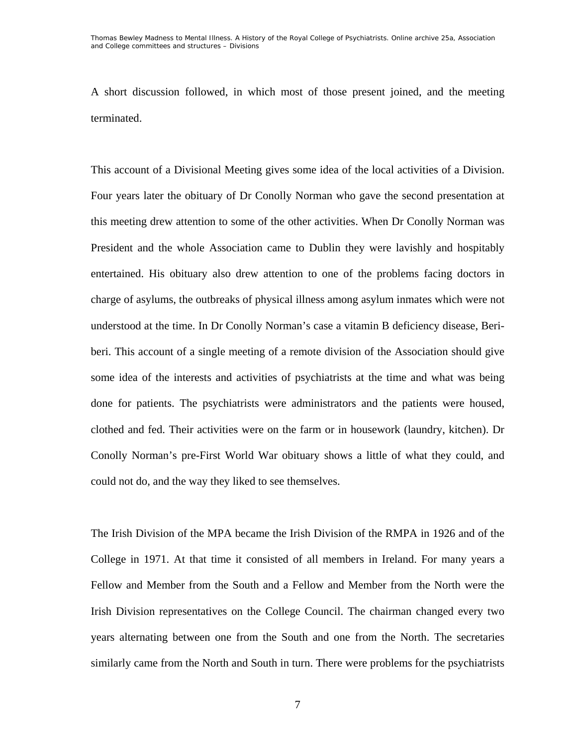A short discussion followed, in which most of those present joined, and the meeting terminated.

This account of a Divisional Meeting gives some idea of the local activities of a Division. Four years later the obituary of Dr Conolly Norman who gave the second presentation at this meeting drew attention to some of the other activities. When Dr Conolly Norman was President and the whole Association came to Dublin they were lavishly and hospitably entertained. His obituary also drew attention to one of the problems facing doctors in charge of asylums, the outbreaks of physical illness among asylum inmates which were not understood at the time. In Dr Conolly Norman's case a vitamin B deficiency disease, Beriberi. This account of a single meeting of a remote division of the Association should give some idea of the interests and activities of psychiatrists at the time and what was being done for patients. The psychiatrists were administrators and the patients were housed, clothed and fed. Their activities were on the farm or in housework (laundry, kitchen). Dr Conolly Norman's pre-First World War obituary shows a little of what they could, and could not do, and the way they liked to see themselves.

The Irish Division of the MPA became the Irish Division of the RMPA in 1926 and of the College in 1971. At that time it consisted of all members in Ireland. For many years a Fellow and Member from the South and a Fellow and Member from the North were the Irish Division representatives on the College Council. The chairman changed every two years alternating between one from the South and one from the North. The secretaries similarly came from the North and South in turn. There were problems for the psychiatrists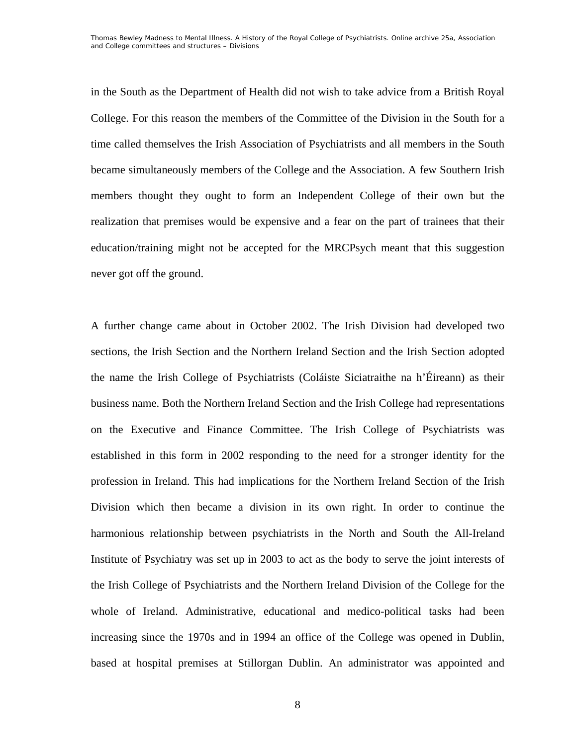in the South as the Department of Health did not wish to take advice from a British Royal College. For this reason the members of the Committee of the Division in the South for a time called themselves the Irish Association of Psychiatrists and all members in the South became simultaneously members of the College and the Association. A few Southern Irish members thought they ought to form an Independent College of their own but the realization that premises would be expensive and a fear on the part of trainees that their education/training might not be accepted for the MRCPsych meant that this suggestion never got off the ground.

A further change came about in October 2002. The Irish Division had developed two sections, the Irish Section and the Northern Ireland Section and the Irish Section adopted the name the Irish College of Psychiatrists (Coláiste Siciatraithe na h'Éireann) as their business name. Both the Northern Ireland Section and the Irish College had representations on the Executive and Finance Committee. The Irish College of Psychiatrists was established in this form in 2002 responding to the need for a stronger identity for the profession in Ireland. This had implications for the Northern Ireland Section of the Irish Division which then became a division in its own right. In order to continue the harmonious relationship between psychiatrists in the North and South the All-Ireland Institute of Psychiatry was set up in 2003 to act as the body to serve the joint interests of the Irish College of Psychiatrists and the Northern Ireland Division of the College for the whole of Ireland. Administrative, educational and medico-political tasks had been increasing since the 1970s and in 1994 an office of the College was opened in Dublin, based at hospital premises at Stillorgan Dublin. An administrator was appointed and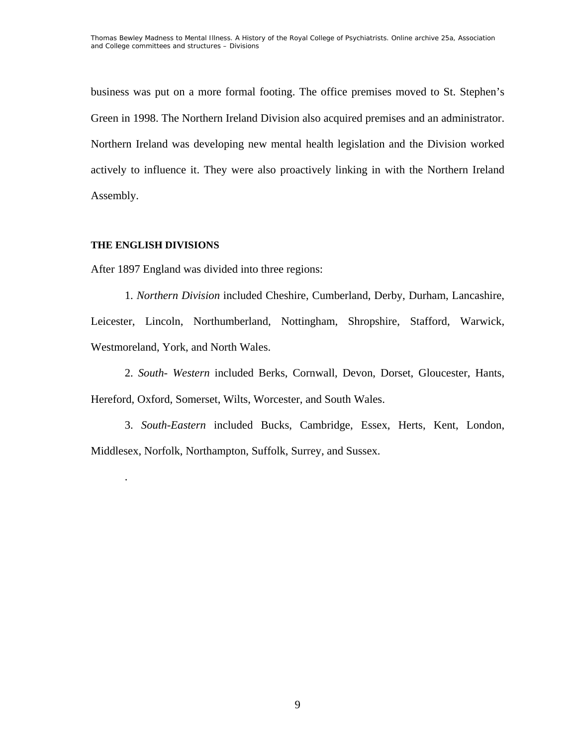business was put on a more formal footing. The office premises moved to St. Stephen's Green in 1998. The Northern Ireland Division also acquired premises and an administrator. Northern Ireland was developing new mental health legislation and the Division worked actively to influence it. They were also proactively linking in with the Northern Ireland Assembly.

# **THE ENGLISH DIVISIONS**

.

After 1897 England was divided into three regions:

 1. *Northern Division* included Cheshire, Cumberland, Derby, Durham, Lancashire, Leicester, Lincoln, Northumberland, Nottingham, Shropshire, Stafford, Warwick, Westmoreland, York, and North Wales.

 2. *South- Western* included Berks, Cornwall, Devon, Dorset, Gloucester, Hants, Hereford, Oxford, Somerset, Wilts, Worcester, and South Wales.

3. *South-Eastern* included Bucks, Cambridge, Essex, Herts, Kent, London, Middlesex, Norfolk, Northampton, Suffolk, Surrey, and Sussex.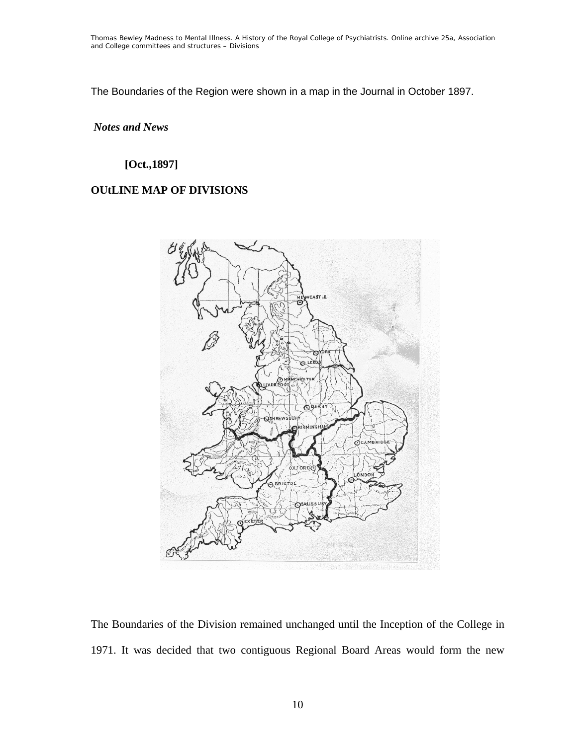The Boundaries of the Region were shown in a map in the Journal in October 1897.

# *Notes and News*

# **[Oct.,1897]**

# **OUtLINE MAP OF DIVISIONS**



The Boundaries of the Division remained unchanged until the Inception of the College in 1971. It was decided that two contiguous Regional Board Areas would form the new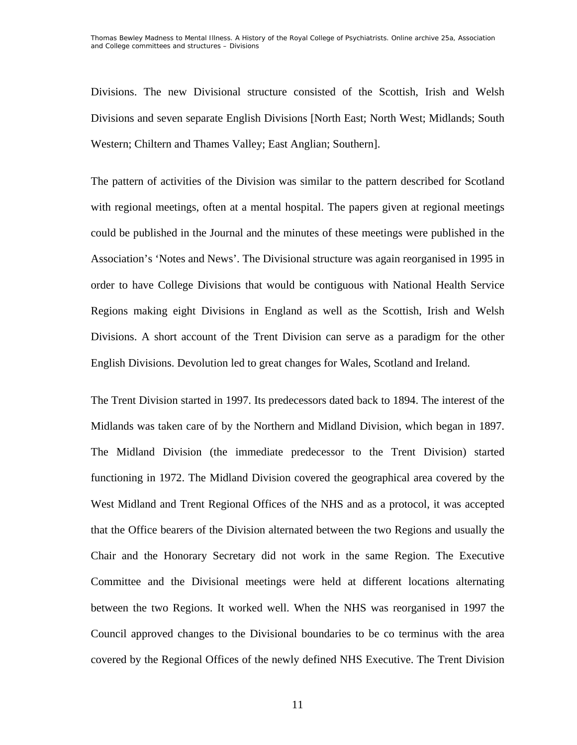Divisions. The new Divisional structure consisted of the Scottish, Irish and Welsh Divisions and seven separate English Divisions [North East; North West; Midlands; South Western; Chiltern and Thames Valley; East Anglian; Southern].

The pattern of activities of the Division was similar to the pattern described for Scotland with regional meetings, often at a mental hospital. The papers given at regional meetings could be published in the Journal and the minutes of these meetings were published in the Association's 'Notes and News'. The Divisional structure was again reorganised in 1995 in order to have College Divisions that would be contiguous with National Health Service Regions making eight Divisions in England as well as the Scottish, Irish and Welsh Divisions. A short account of the Trent Division can serve as a paradigm for the other English Divisions. Devolution led to great changes for Wales, Scotland and Ireland.

The Trent Division started in 1997. Its predecessors dated back to 1894. The interest of the Midlands was taken care of by the Northern and Midland Division, which began in 1897. The Midland Division (the immediate predecessor to the Trent Division) started functioning in 1972. The Midland Division covered the geographical area covered by the West Midland and Trent Regional Offices of the NHS and as a protocol, it was accepted that the Office bearers of the Division alternated between the two Regions and usually the Chair and the Honorary Secretary did not work in the same Region. The Executive Committee and the Divisional meetings were held at different locations alternating between the two Regions. It worked well. When the NHS was reorganised in 1997 the Council approved changes to the Divisional boundaries to be co terminus with the area covered by the Regional Offices of the newly defined NHS Executive. The Trent Division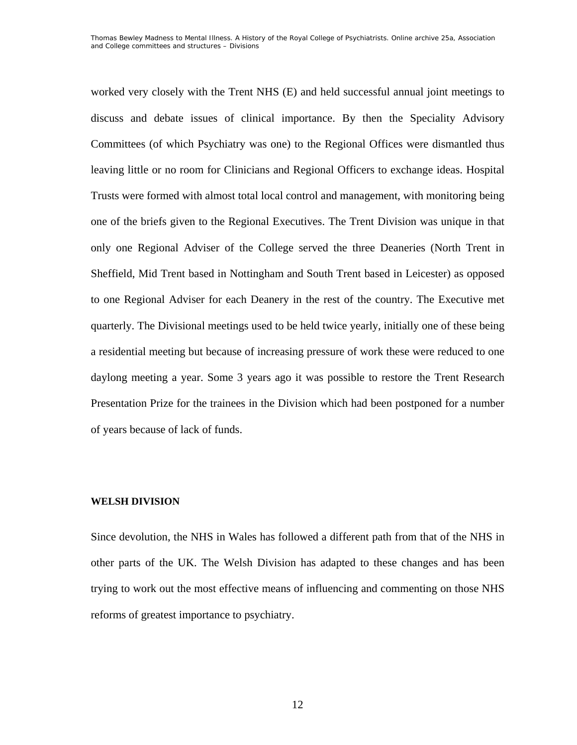worked very closely with the Trent NHS (E) and held successful annual joint meetings to discuss and debate issues of clinical importance. By then the Speciality Advisory Committees (of which Psychiatry was one) to the Regional Offices were dismantled thus leaving little or no room for Clinicians and Regional Officers to exchange ideas. Hospital Trusts were formed with almost total local control and management, with monitoring being one of the briefs given to the Regional Executives. The Trent Division was unique in that only one Regional Adviser of the College served the three Deaneries (North Trent in Sheffield, Mid Trent based in Nottingham and South Trent based in Leicester) as opposed to one Regional Adviser for each Deanery in the rest of the country. The Executive met quarterly. The Divisional meetings used to be held twice yearly, initially one of these being a residential meeting but because of increasing pressure of work these were reduced to one daylong meeting a year. Some 3 years ago it was possible to restore the Trent Research Presentation Prize for the trainees in the Division which had been postponed for a number of years because of lack of funds.

### **WELSH DIVISION**

Since devolution, the NHS in Wales has followed a different path from that of the NHS in other parts of the UK. The Welsh Division has adapted to these changes and has been trying to work out the most effective means of influencing and commenting on those NHS reforms of greatest importance to psychiatry.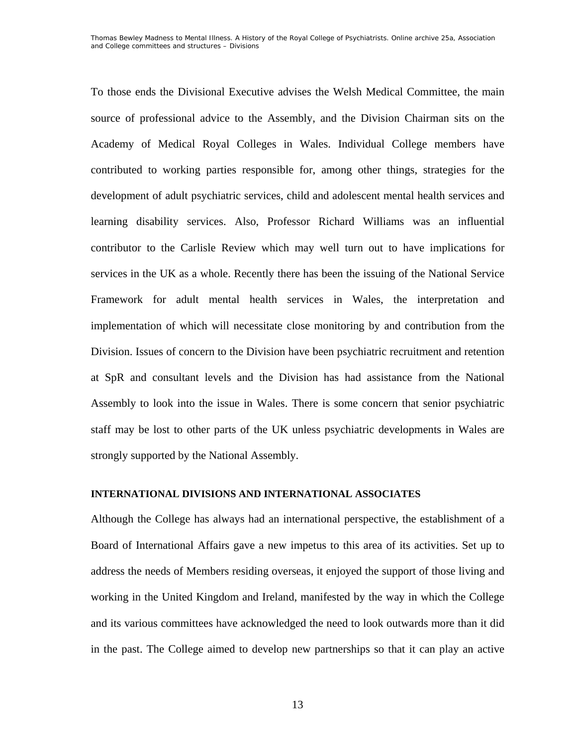To those ends the Divisional Executive advises the Welsh Medical Committee, the main source of professional advice to the Assembly, and the Division Chairman sits on the Academy of Medical Royal Colleges in Wales. Individual College members have contributed to working parties responsible for, among other things, strategies for the development of adult psychiatric services, child and adolescent mental health services and learning disability services. Also, Professor Richard Williams was an influential contributor to the Carlisle Review which may well turn out to have implications for services in the UK as a whole. Recently there has been the issuing of the National Service Framework for adult mental health services in Wales, the interpretation and implementation of which will necessitate close monitoring by and contribution from the Division. Issues of concern to the Division have been psychiatric recruitment and retention at SpR and consultant levels and the Division has had assistance from the National Assembly to look into the issue in Wales. There is some concern that senior psychiatric staff may be lost to other parts of the UK unless psychiatric developments in Wales are strongly supported by the National Assembly.

### **INTERNATIONAL DIVISIONS AND INTERNATIONAL ASSOCIATES**

Although the College has always had an international perspective, the establishment of a Board of International Affairs gave a new impetus to this area of its activities. Set up to address the needs of Members residing overseas, it enjoyed the support of those living and working in the United Kingdom and Ireland, manifested by the way in which the College and its various committees have acknowledged the need to look outwards more than it did in the past. The College aimed to develop new partnerships so that it can play an active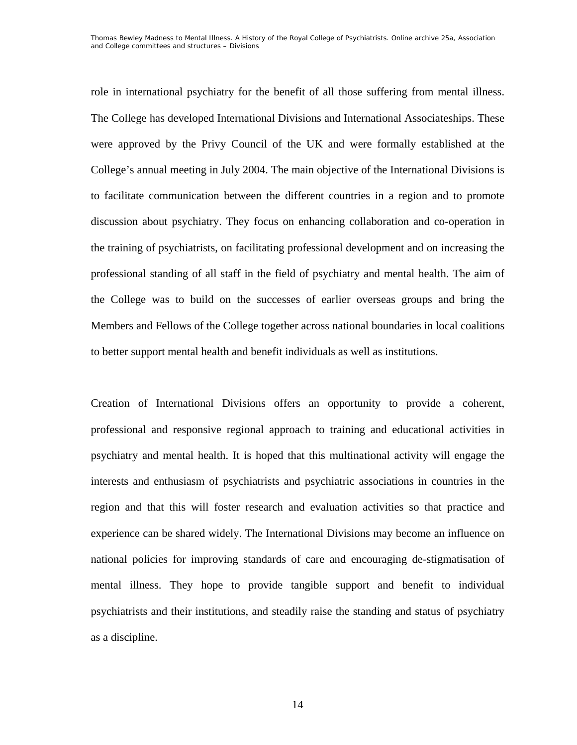role in international psychiatry for the benefit of all those suffering from mental illness. The College has developed International Divisions and International Associateships. These were approved by the Privy Council of the UK and were formally established at the College's annual meeting in July 2004. The main objective of the International Divisions is to facilitate communication between the different countries in a region and to promote discussion about psychiatry. They focus on enhancing collaboration and co-operation in the training of psychiatrists, on facilitating professional development and on increasing the professional standing of all staff in the field of psychiatry and mental health. The aim of the College was to build on the successes of earlier overseas groups and bring the Members and Fellows of the College together across national boundaries in local coalitions to better support mental health and benefit individuals as well as institutions.

Creation of International Divisions offers an opportunity to provide a coherent, professional and responsive regional approach to training and educational activities in psychiatry and mental health. It is hoped that this multinational activity will engage the interests and enthusiasm of psychiatrists and psychiatric associations in countries in the region and that this will foster research and evaluation activities so that practice and experience can be shared widely. The International Divisions may become an influence on national policies for improving standards of care and encouraging de-stigmatisation of mental illness. They hope to provide tangible support and benefit to individual psychiatrists and their institutions, and steadily raise the standing and status of psychiatry as a discipline.